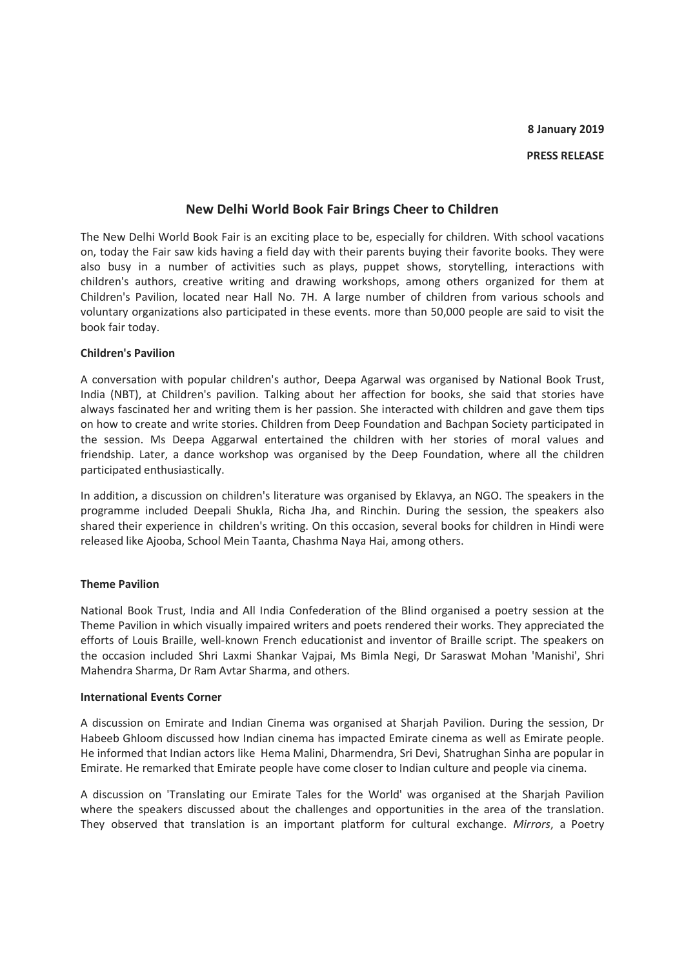# **New Delhi World Book Fair Brings Cheer to Children**

The New Delhi World Book Fair is an exciting place to be, especially for children. With school vacations on, today the Fair saw kids having a field day with their parents buying their favorite books. They were also busy in a number of activities such as plays, puppet shows, storytelling, interactions with children's authors, creative writing and drawing workshops, among others organized for them at Children's Pavilion, located near Hall No. 7H. A large number of children from various schools and voluntary organizations also participated in these events. more than 50,000 people are said to visit the book fair today.

## **Children's Pavilion**

A conversation with popular children's author, Deepa Agarwal was organised by National Book Trust, India (NBT), at Children's pavilion. Talking about her affection for books, she said that stories have always fascinated her and writing them is her passion. She interacted with children and gave them tips on how to create and write stories. Children from Deep Foundation and Bachpan Society participated in the session. Ms Deepa Aggarwal entertained the children with her stories of moral values and friendship. Later, a dance workshop was organised by the Deep Foundation, where all the children participated enthusiastically.

In addition, a discussion on children's literature was organised by Eklavya, an NGO. The speakers in the programme included Deepali Shukla, Richa Jha, and Rinchin. During the session, the speakers also shared their experience in children's writing. On this occasion, several books for children in Hindi were released like Ajooba, School Mein Taanta, Chashma Naya Hai, among others.

### **Theme Pavilion**

National Book Trust, India and All India Confederation of the Blind organised a poetry session at the Theme Pavilion in which visually impaired writers and poets rendered their works. They appreciated the efforts of Louis Braille, well-known French educationist and inventor of Braille script. The speakers on the occasion included Shri Laxmi Shankar Vajpai, Ms Bimla Negi, Dr Saraswat Mohan 'Manishi', Shri Mahendra Sharma, Dr Ram Avtar Sharma, and others.

### **International Events Corner**

A discussion on Emirate and Indian Cinema was organised at Sharjah Pavilion. During the session, Dr Habeeb Ghloom discussed how Indian cinema has impacted Emirate cinema as well as Emirate people. He informed that Indian actors like Hema Malini, Dharmendra, Sri Devi, Shatrughan Sinha are popular in Emirate. He remarked that Emirate people have come closer to Indian culture and people via cinema.

A discussion on 'Translating our Emirate Tales for the World' was organised at the Sharjah Pavilion where the speakers discussed about the challenges and opportunities in the area of the translation. They observed that translation is an important platform for cultural exchange. *Mirrors*, a Poetry